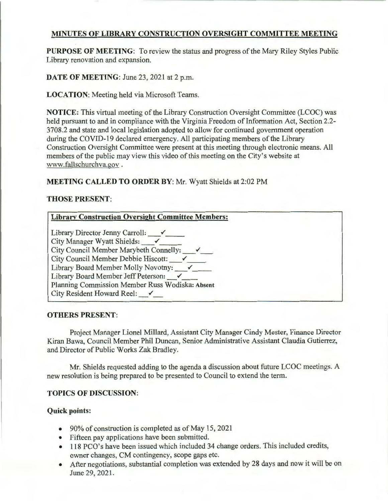# MINUTES OF LIBRARY CONSTRUCTION OVERSIGHT COMMITTEE MEETING

PURPOSE OF MEETING: To review the status and progress of the Mary Riley Styles Public Library renovation and expansion.

DATE OF MEETING: June 23, 2021 at 2 p.m.

LOCATION: Meeting held via Microsoft Teams.

NOTICE: This virtual meeting of the Library Construction Oversight Committee (LCOC) was held pursuant to and in compliance with the Virginia Freedom of Information Act, Section 2.2- 3708.2 and state and local legislation adopted to allow for continued government operation during the COVID-19 declared emergency. All participating members of the Library Construction Oversight Committee were present at this meeting through electronic means. All members of the public may view this video of this meeting on the City's website at www.fallschurchva.gov .

## MEETING CALLED TO ORDER BY: Mr. Wyatt Shields at 2:02 PM

### THOSE PRESENT:

| <b>Library Construction Oversight Committee Members:</b> |  |
|----------------------------------------------------------|--|
| Library Director Jenny Carroll: $\checkmark$             |  |
| City Manager Wyatt Shields:                              |  |
| City Council Member Marybeth Connelly: v                 |  |
| $\vert$ City Council Member Debbie Hiscott: $\checkmark$ |  |
| Library Board Member Molly Novotny:                      |  |
| Library Board Member Jeff Peterson:                      |  |
| Planning Commission Member Russ Wodiska: Absent          |  |
| City Resident Howard Reel: $\checkmark$                  |  |
|                                                          |  |

### OTHERS PRESENT:

Project Manager Lionel Millard, Assistant City Manager Cindy Mester, Finance Director Kiran Bawa, Council Member Phil Duncan, Senior Administrative Assistant Claudia Gutierrez, and Director of Public Works Zak Bradley.

Mr. Shields requested adding to the agenda a discussion about future LCOC meetings. A new resolution is being prepared to be presented to Council to extend the term.

## TOPICS OF DISCUSSION:

### Quick points:

- 90% of construction is completed as of May 15, 2021
- Fifteen pay applications have been submitted.
- 118 PCO's have been issued which included 34 change orders. This included credits, owner changes, CM contingency, scope gaps etc.
- After negotiations, substantial completion was extended by 28 days and now it will be on June 29, 2021.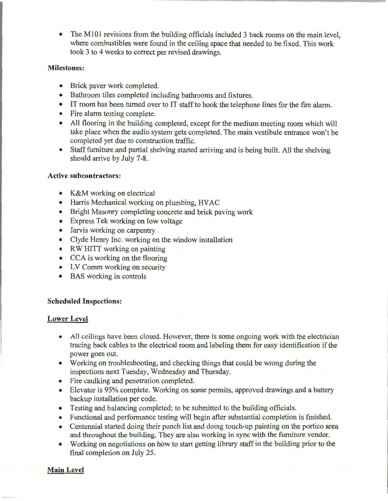• The M101 revisions from the building officials included 3 back rooms on the main level, where combustibles were found in the ceiling space that needed to be fixed. This work took 3 to 4 weeks to correct per revised drawings.

### **Milestones:**

- Brick paver work completed.
- Bathroom tiles completed including bathrooms and fixtures.
- IT room has been turned over to IT staff to hook the telephone lines for the fire alarm.
- Fire alarm testing complete.
- All flooring in the building completed, except for the medium meeting room which will take place when the audio system gets completed. The main vestibule entrance won't be completed yet due to construction traffic.
- Staff furniture and partial shelving started arriving and is being built. All the shelving should arrive by July 7-8.

### **Active subcontractors:**

- K&M working on electrical
- Harris Mechanical working on plumbing, HVAC
- Bright Masonry completing concrete and brick paving work
- Express Tek working on low voltage
- Jarvis working on carpentry
- Clyde Henry Inc. working on the window installation
- RW HITT working on painting
- CCA is working on the flooring
- LV Comm working on security
- BAS working in controls

## **Scheduled Inspections:**

## **Lower Level**

- All ceilings have been closed. However, there is some ongoing work with the electrician tracing back cables to the electrical room and labeling them for easy identification if the power goes out.
- Working on troubleshooting, and checking things that could be wrong during the inspections next Tuesday, Wednesday and Thursday.
- Fire caulking and penetration completed.
- Elevator is 95% complete. Working on some permits, approved drawings and a battery backup installation per code.
- Testing and balancing completed; to be submitted to the building officials.
- Functional and performance testing will begin after substantial completion is finished.
- Centennial started doing their punch list and doing touch-up painting on the portico area and throughout the building. They are also working in sync with the furniture vendor.
- Working on negotiations on how to start getting library staff in the building prior to the final completion on July 25.

## **Main Level**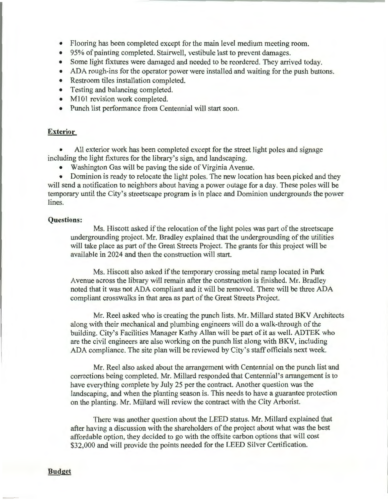- Flooring has been completed except for the main level medium meeting room.
- 95% of painting completed. Stairwell, vestibule last to prevent damages.
- Some light fixtures were damaged and needed to be reordered. They arrived today.
- ADA rough-ins for the operator power were installed and waiting for the push buttons.
- Restroom tiles installation completed.
- Testing and balancing completed.
- M101 revision work completed.
- Punch list performance from Centennial will start soon.

#### **Exterior**

All exterior work has been completed except for the street light poles and signage including the light fixtures for the library's sign, and landscaping.

• Washington Gas will be paving the side of Virginia Avenue.

• Dominion is ready to relocate the light poles. The new location has been picked and they will send a notification to neighbors about having a power outage for a day. These poles will be temporary until the City's streetscape program is in place and Dominion undergrounds the power lines.

#### **Questions:**

Ms. Hiscott asked if the relocation of the light poles was part of the streetscape undergrounding project. Mr. Bradley explained that the undergrounding of the utilities will take place as part of the Great Streets Project. The grants for this project will be available in 2024 and then the construction will start.

Ms. Hiscott also asked if the temporary crossing metal ramp located in Park A venue across the library will remain after the construction is finished. Mr. Bradley noted that it was not ADA compliant and it will be removed. There will be three ADA compliant crosswalks in that area as part of the Great Streets Project.

Mr. Reel asked who is creating the punch lists. Mr. Millard stated BKV Architects along with their mechanical and plumbing engineers will do a walk-through of the building. City's Facilities Manager Kathy Allan will be part of it as well. ADTEK who are the civil engineers are also working on the punch list along with BKV, including ADA compliance. The site plan will be reviewed by City's staff officials next week.

Mr. Reel also asked about the arrangement with Centennial on the punch list and corrections being completed. Mr. Millard responded that Centennial's arrangement is to have everything complete by July 25 per the contract. Another question was the landscaping, and when the planting season is. This needs to have a guarantee protection on the planting. Mr. Millard will review the contract with the City Arborist.

There was another question about the LEED status. Mr. Millard explained that after having a discussion with the shareholders of the project about what was the best affordable option, they decided to go with the offsite carbon options that will cost \$32,000 and will provide the points needed for the LEED Silver Certification.

**Budget**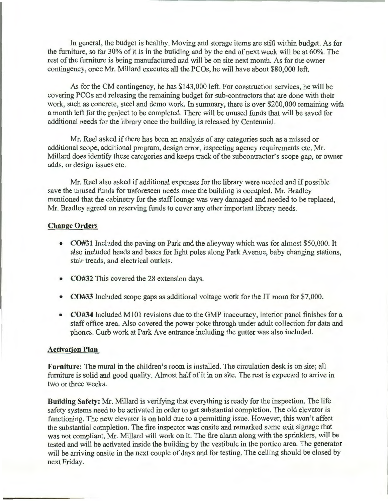In general, the budget is healthy. Moving and storage items are still within budget. As for the furniture, so far 30% of it is in the building and by the end of next week will be at 60%. The rest of the furniture is being manufactured and will be on site next month. As for the owner contingency, once Mr. Millard executes all the PCOs, he will have about \$80,000 left.

As for the CM contingency, he has \$143,000 left. For construction services, he will be covering PCOs and releasing the remaining budget for sub-contractors that are done with their work, such as concrete, steel and demo work. In summary, there is over \$200,000 remaining with a month left for the project to be completed. There will be unused funds that will be saved for additional needs for the library once the building is released by Centennial.

Mr. Reel asked if there has been an analysis of any categories such as a missed or additional scope, additional program, design error, inspecting agency requirements etc. Mr. Millard does identify these categories and keeps track of the subcontractor's scope gap, or owner adds, or design issues etc.

Mr. Reel also asked if additional expenses for the library were needed and if possible save the unused funds for unforeseen needs once the building is occupied. Mr. Bradley mentioned that the cabinetry for the staff lounge was very damaged and needed to be replaced, Mr. Bradley agreed on reserving funds to cover any other important library needs.

#### **Change Orders**

- **C0#31** Included the paving on Park and the alleyway which was for almost \$50,000. It also included heads and bases for light poles along Park A venue, baby changing stations, stair treads, and electrical outlets.
- **C0#32** This covered the 28 extension days.
- **C0#33** Included scope gaps as additional voltage work for the IT room for \$7,000.
- **C0#34** Included MlOl revisions due to the GMP inaccuracy, interior panel finishes for a staff office area. Also covered the power poke through under adult collection for data and phones. Curb work at Park Ave entrance including the gutter was also included.

#### **Activation Plan**

**Furniture:** The mural in the children's room is installed. The circulation desk is on site; all furniture is solid and good quality. Almost half of it in on site. The rest is expected to arrive in two or three weeks.

**Building Safety:** Mr. Millard is verifying that everything is ready for the inspection. The life safety systems need to be activated in order to get substantial completion. The old elevator is functioning. The new elevator is on hold due to a permitting issue. However, this won't affect the substantial completion. The fire inspector was onsite and remarked some exit signage that was not compliant, Mr. Millard will work on it. The fire alarm along with the sprinklers, will be tested and will be activated inside the building by the vestibule in the portico area. The generator will be arriving onsite in the next couple of days and for testing. The ceiling should be closed by next Friday.